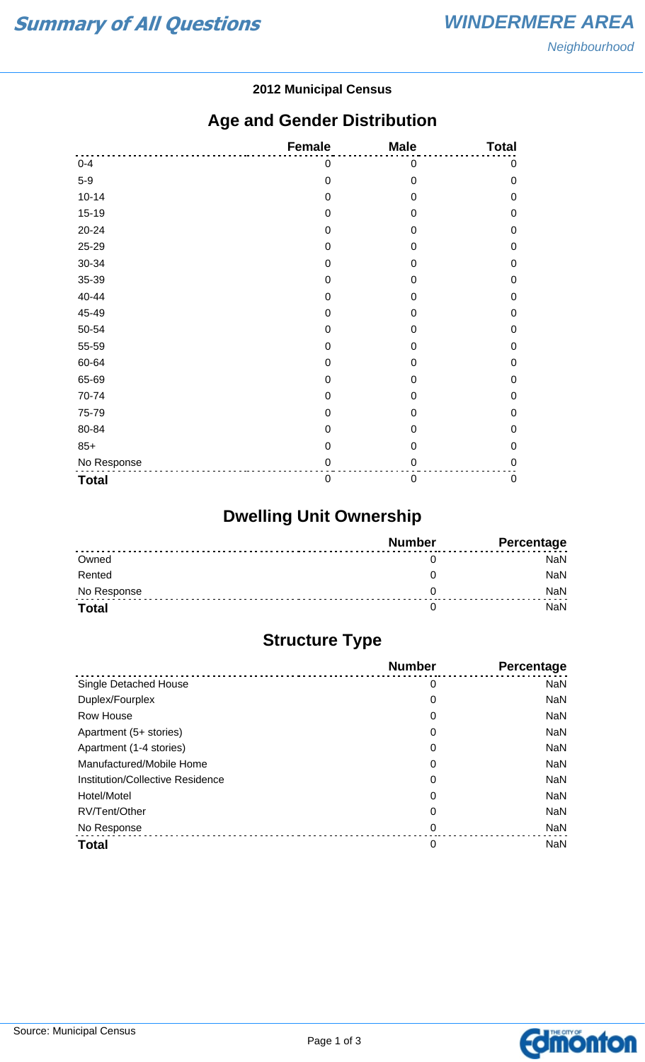#### **2012 Municipal Census**

## **Age and Gender Distribution**

|              | <b>Female</b>    | <b>Male</b>      | <b>Total</b> |
|--------------|------------------|------------------|--------------|
| $0 - 4$      | 0                | 0                | 0            |
| $5-9$        | $\mathbf 0$      | $\mathbf 0$      | $\mathbf 0$  |
| $10 - 14$    | $\mathbf 0$      | $\mathbf 0$      | $\mathbf 0$  |
| $15-19$      | $\mathbf 0$      | $\mathbf 0$      | $\mathbf 0$  |
| 20-24        | $\mathbf 0$      | $\mathbf 0$      | $\mathbf 0$  |
| 25-29        | $\mathbf 0$      | $\boldsymbol{0}$ | $\mathbf 0$  |
| 30-34        | $\mathbf 0$      | $\mathbf 0$      | 0            |
| 35-39        | $\boldsymbol{0}$ | $\mathbf 0$      | $\mathbf 0$  |
| 40-44        | $\mathbf 0$      | $\mathbf 0$      | $\mathbf 0$  |
| 45-49        | 0                | $\boldsymbol{0}$ | $\mathbf 0$  |
| 50-54        | $\mathbf 0$      | $\mathbf 0$      | $\mathbf 0$  |
| 55-59        | $\mathbf 0$      | 0                | $\mathbf 0$  |
| 60-64        | $\mathbf 0$      | $\mathbf 0$      | $\mathbf 0$  |
| 65-69        | $\mathbf 0$      | $\mathbf 0$      | $\mathbf 0$  |
| 70-74        | $\boldsymbol{0}$ | $\boldsymbol{0}$ | 0            |
| 75-79        | $\mathbf 0$      | $\mathbf 0$      | 0            |
| 80-84        | $\mathbf 0$      | 0                | 0            |
| $85+$        | $\mathbf 0$      | $\mathbf 0$      | $\mathbf 0$  |
| No Response  | $\pmb{0}$        | $\mathbf 0$      | $\mathbf 0$  |
| <b>Total</b> | $\boldsymbol{0}$ | $\boldsymbol{0}$ | $\pmb{0}$    |

# **Dwelling Unit Ownership**

|              | <b>Number</b> | Percentage |
|--------------|---------------|------------|
| Owned        |               | NaN        |
| Rented       |               | NaN        |
| No Response  |               | <b>NaN</b> |
| <b>Total</b> |               | NaN        |

## **Structure Type**

|                                  | <b>Number</b> | <b>Percentage</b> |
|----------------------------------|---------------|-------------------|
| Single Detached House            | 0             | <b>NaN</b>        |
| Duplex/Fourplex                  | 0             | <b>NaN</b>        |
| Row House                        | 0             | <b>NaN</b>        |
| Apartment (5+ stories)           | 0             | <b>NaN</b>        |
| Apartment (1-4 stories)          | 0             | <b>NaN</b>        |
| Manufactured/Mobile Home         | 0             | <b>NaN</b>        |
| Institution/Collective Residence | 0             | <b>NaN</b>        |
| Hotel/Motel                      | 0             | <b>NaN</b>        |
| RV/Tent/Other                    | 0             | <b>NaN</b>        |
| No Response                      | 0             | <b>NaN</b>        |
| <b>Total</b>                     | 0             | <b>NaN</b>        |

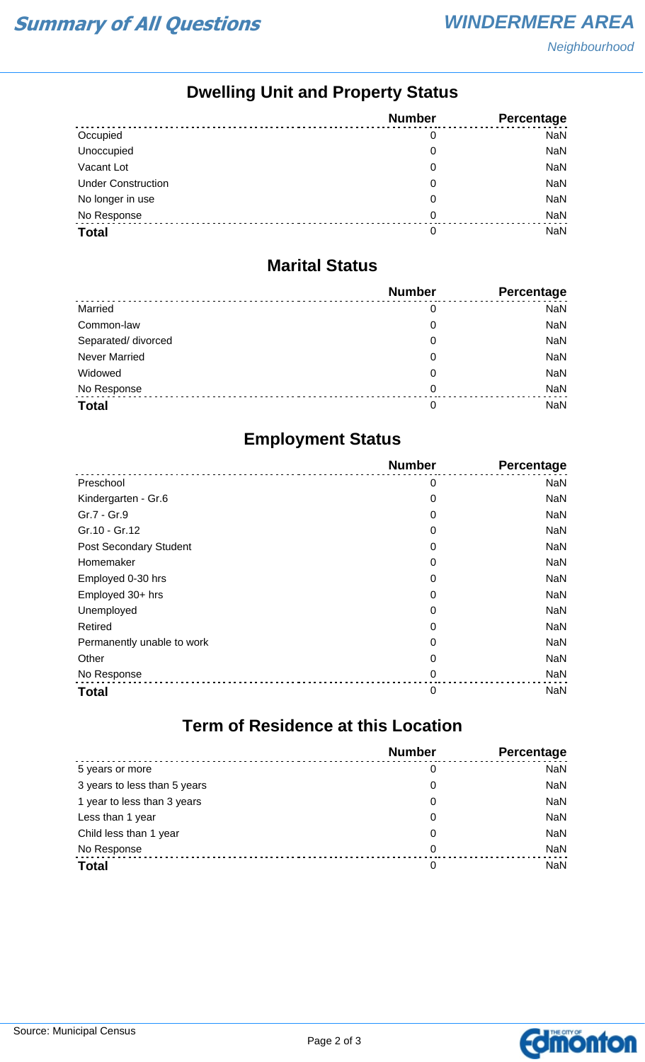## **Dwelling Unit and Property Status**

|                           | <b>Number</b> | Percentage |
|---------------------------|---------------|------------|
| Occupied                  | 0             | <b>NaN</b> |
| Unoccupied                | 0             | <b>NaN</b> |
| Vacant Lot                | 0             | <b>NaN</b> |
| <b>Under Construction</b> | 0             | <b>NaN</b> |
| No longer in use          | 0             | <b>NaN</b> |
| No Response               | 0             | <b>NaN</b> |
| <b>Total</b>              | 0             | <b>NaN</b> |

#### **Marital Status**

|                      | <b>Number</b> | Percentage |
|----------------------|---------------|------------|
| Married              | 0             | <b>NaN</b> |
| Common-law           | 0             | <b>NaN</b> |
| Separated/ divorced  | 0             | <b>NaN</b> |
| <b>Never Married</b> | 0             | <b>NaN</b> |
| Widowed              | 0             | <b>NaN</b> |
| No Response          | $\Omega$      | <b>NaN</b> |
| <b>Total</b>         | 0             | <b>NaN</b> |

## **Employment Status**

|                               | <b>Number</b> | Percentage |
|-------------------------------|---------------|------------|
| Preschool                     | 0             | <b>NaN</b> |
| Kindergarten - Gr.6           | 0             | NaN        |
| Gr.7 - Gr.9                   | 0             | NaN        |
| Gr.10 - Gr.12                 | 0             | NaN        |
| <b>Post Secondary Student</b> | 0             | <b>NaN</b> |
| Homemaker                     | 0             | NaN        |
| Employed 0-30 hrs             | 0             | <b>NaN</b> |
| Employed 30+ hrs              | 0             | NaN        |
| Unemployed                    | 0             | NaN        |
| Retired                       | 0             | NaN        |
| Permanently unable to work    | 0             | <b>NaN</b> |
| Other                         | 0             | NaN        |
| No Response                   | 0             | <b>NaN</b> |
| <b>Total</b>                  | 0             | <b>NaN</b> |

## **Term of Residence at this Location**

|                              | <b>Number</b> | Percentage |
|------------------------------|---------------|------------|
| 5 years or more              | 0             | <b>NaN</b> |
| 3 years to less than 5 years | 0             | <b>NaN</b> |
| 1 year to less than 3 years  | 0             | <b>NaN</b> |
| Less than 1 year             | 0             | <b>NaN</b> |
| Child less than 1 year       | 0             | <b>NaN</b> |
| No Response                  | 0             | <b>NaN</b> |
| <b>Total</b>                 | 0             | <b>NaN</b> |